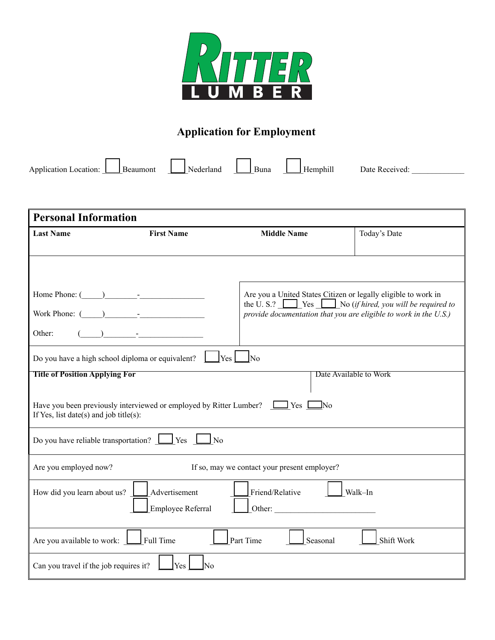

## **Application for Employment**

Application Location: Beaumont Let Beaumont Rederland Buna Let Hemphill Date Received:

| <b>Personal Information</b>                                                                                                                                               |                   |                                                                                                                                       |              |  |
|---------------------------------------------------------------------------------------------------------------------------------------------------------------------------|-------------------|---------------------------------------------------------------------------------------------------------------------------------------|--------------|--|
| <b>Last Name</b>                                                                                                                                                          | <b>First Name</b> | <b>Middle Name</b>                                                                                                                    | Today's Date |  |
|                                                                                                                                                                           |                   |                                                                                                                                       |              |  |
|                                                                                                                                                                           |                   |                                                                                                                                       |              |  |
| Home Phone: $(\_\_)$                                                                                                                                                      |                   | Are you a United States Citizen or legally eligible to work in                                                                        |              |  |
| Work Phone: $\qquad \qquad$                                                                                                                                               |                   | the U.S.? $\Box$ Yes $\Box$ No (if hired, you will be required to<br>provide documentation that you are eligible to work in the U.S.) |              |  |
| Other:                                                                                                                                                                    |                   |                                                                                                                                       |              |  |
| Do you have a high school diploma or equivalent?<br>$\left  \mathrm{Yes} \right $ No                                                                                      |                   |                                                                                                                                       |              |  |
| <b>Title of Position Applying For</b><br>Date Available to Work                                                                                                           |                   |                                                                                                                                       |              |  |
| Have you been previously interviewed or employed by Ritter Lumber?<br><br><br><br><br>Yes [<br>$\Box$ No<br>If Yes, list date(s) and job title(s):                        |                   |                                                                                                                                       |              |  |
| Do you have reliable transportation? $\Box$ Yes $\Box$ No                                                                                                                 |                   |                                                                                                                                       |              |  |
| Are you employed now?                                                                                                                                                     |                   | If so, may we contact your present employer?                                                                                          |              |  |
| How did you learn about us? <u>I Advertisement</u><br>Friend/Relative<br>Walk-In<br>$\sim$ 100 $\pm$<br>$\text{Other:}\n\qquad \qquad \qquad \qquad$<br>Employee Referral |                   |                                                                                                                                       |              |  |
| Are you available to work: Full Time                                                                                                                                      |                   | Part Time<br>Seasonal                                                                                                                 | Shift Work   |  |
| Can you travel if the job requires it?                                                                                                                                    | Yes<br>N٥         |                                                                                                                                       |              |  |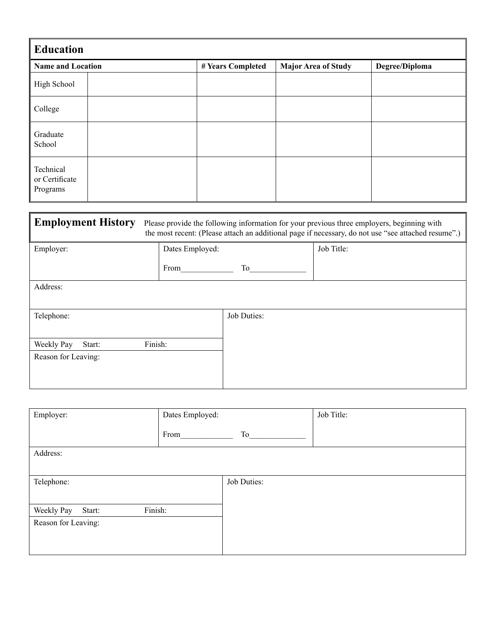| <b>Education</b>                        |                   |                            |                |  |
|-----------------------------------------|-------------------|----------------------------|----------------|--|
| <b>Name and Location</b>                | # Years Completed | <b>Major Area of Study</b> | Degree/Diploma |  |
| High School                             |                   |                            |                |  |
| College                                 |                   |                            |                |  |
| Graduate<br>School                      |                   |                            |                |  |
| Technical<br>or Certificate<br>Programs |                   |                            |                |  |

| <b>Employment History</b> | Please provide the following information for your previous three employers, beginning with<br>the most recent: (Please attach an additional page if necessary, do not use "see attached resume".) |             |            |  |
|---------------------------|---------------------------------------------------------------------------------------------------------------------------------------------------------------------------------------------------|-------------|------------|--|
| Employer:                 | Dates Employed:                                                                                                                                                                                   |             | Job Title: |  |
|                           | From                                                                                                                                                                                              | To          |            |  |
| Address:                  |                                                                                                                                                                                                   |             |            |  |
|                           |                                                                                                                                                                                                   |             |            |  |
| Telephone:                |                                                                                                                                                                                                   | Job Duties: |            |  |
|                           |                                                                                                                                                                                                   |             |            |  |
| Weekly Pay<br>Start:      | Finish:                                                                                                                                                                                           |             |            |  |
| Reason for Leaving:       |                                                                                                                                                                                                   |             |            |  |
|                           |                                                                                                                                                                                                   |             |            |  |
|                           |                                                                                                                                                                                                   |             |            |  |

| Employer:                       | Dates Employed: |             | Job Title: |
|---------------------------------|-----------------|-------------|------------|
|                                 | From            | To          |            |
| Address:                        |                 |             |            |
|                                 |                 |             |            |
| Telephone:                      |                 | Job Duties: |            |
|                                 |                 |             |            |
| Finish:<br>Weekly Pay<br>Start: |                 |             |            |
| Reason for Leaving:             |                 |             |            |
|                                 |                 |             |            |
|                                 |                 |             |            |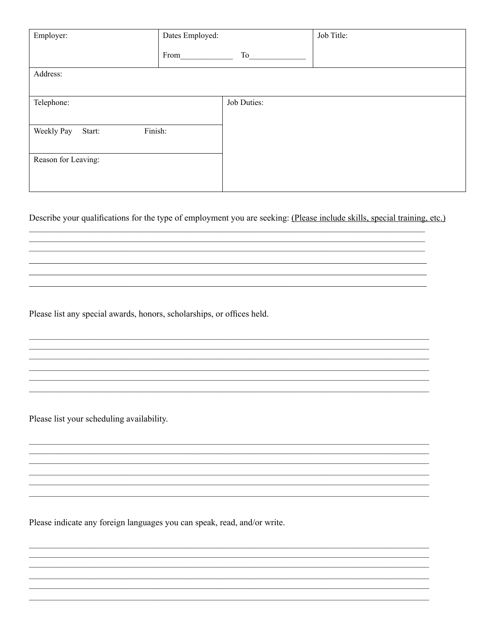| Employer:                       | Dates Employed: |             | Job Title: |
|---------------------------------|-----------------|-------------|------------|
|                                 | From            | To          |            |
| Address:                        |                 |             |            |
| Telephone:                      |                 | Job Duties: |            |
| Finish:<br>Weekly Pay<br>Start: |                 |             |            |
| Reason for Leaving:             |                 |             |            |
|                                 |                 |             |            |

Describe your qualifications for the type of employment you are seeking: (Please include skills, special training, etc.)

<u>a sa mga barangang na mga barangang na mga barangang na mga barangang na mga barangang na mga barangang ng mga </u>

<u> 1989 - Johann Barn, mars ann an t-Amhain ann an t-Amhain ann an t-Amhain ann an t-Amhain an t-Amhain an t-A</u>

Please list any special awards, honors, scholarships, or offices held.

Please list your scheduling availability.

Please indicate any foreign languages you can speak, read, and/or write.